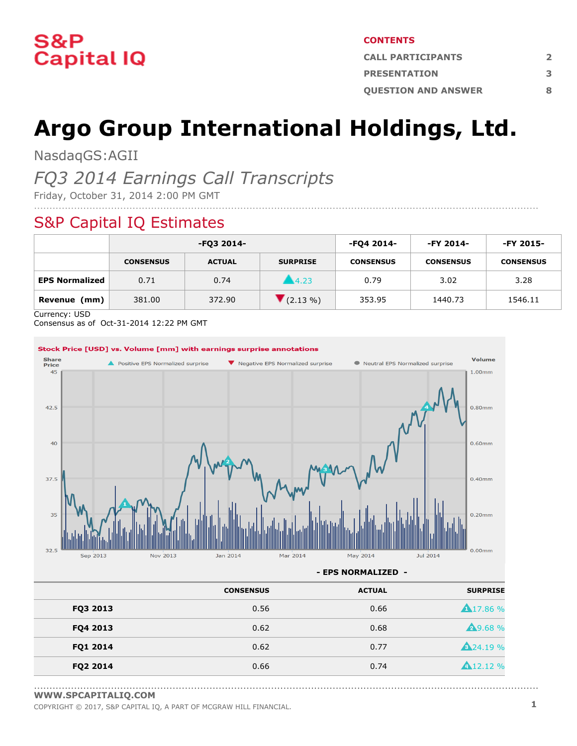

#### **CONTENTS**

| <b>CALL PARTICIPANTS</b>   |   |
|----------------------------|---|
| <b>PRESENTATION</b>        |   |
| <b>OUESTION AND ANSWER</b> | Ջ |

# **Argo Group International Holdings, Ltd.**

NasdaqGS:AGII

### *FQ3 2014 Earnings Call Transcripts*

Friday, October 31, 2014 2:00 PM GMT

### S&P Capital IQ Estimates

|                       | -FQ3 2014-       |               |                  | -FQ4 2014-       | -FY 2014-        | -FY 2015-        |
|-----------------------|------------------|---------------|------------------|------------------|------------------|------------------|
|                       | <b>CONSENSUS</b> | <b>ACTUAL</b> | <b>SURPRISE</b>  | <b>CONSENSUS</b> | <b>CONSENSUS</b> | <b>CONSENSUS</b> |
| <b>EPS Normalized</b> | 0.71             | 0.74          | $\triangle$ 4.23 | 0.79             | 3.02             | 3.28             |
| Revenue<br>(mm)       | 381.00           | 372.90        | $(2.13\%)$       | 353.95           | 1440.73          | 1546.11          |

....................................................................................................................................................................

Currency: USD

Consensus as of Oct-31-2014 12:22 PM GMT



**- EPS NORMALIZED -**

....................................................................................................................................................................

| <b>CONSENSUS</b> | <b>ACTUAL</b> | <b>SURPRISE</b>  |
|------------------|---------------|------------------|
| 0.56             | 0.66          | <b>A</b> 17.86 % |
| 0.62             | 0.68          | <b>49.68%</b>    |
| 0.62             | 0.77          | <b>A</b> 24.19 % |
| 0.66             | 0.74          | <b>A</b> 12.12 % |
|                  |               |                  |

**[WWW.SPCAPITALIQ.COM](https://www.capitaliq.com/home.aspx)**

COPYRIGHT © 2017, S&P CAPITAL IQ, <sup>A</sup> PART OF MCGRAW HILL FINANCIAL. **1**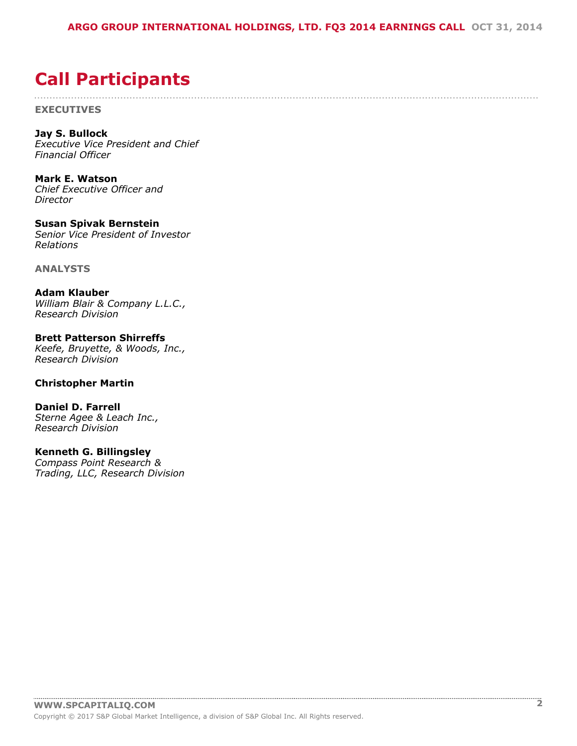....................................................................................................................................................................

## <span id="page-1-0"></span>**Call Participants**

**EXECUTIVES**

**Jay S. Bullock** *Executive Vice President and Chief Financial Officer*

**Mark E. Watson** *Chief Executive Officer and Director*

**Susan Spivak Bernstein** *Senior Vice President of Investor Relations*

**ANALYSTS**

**Adam Klauber** *William Blair & Company L.L.C., Research Division*

**Brett Patterson Shirreffs** *Keefe, Bruyette, & Woods, Inc., Research Division*

#### **Christopher Martin**

**Daniel D. Farrell** *Sterne Agee & Leach Inc., Research Division*

#### **Kenneth G. Billingsley**

*Compass Point Research & Trading, LLC, Research Division*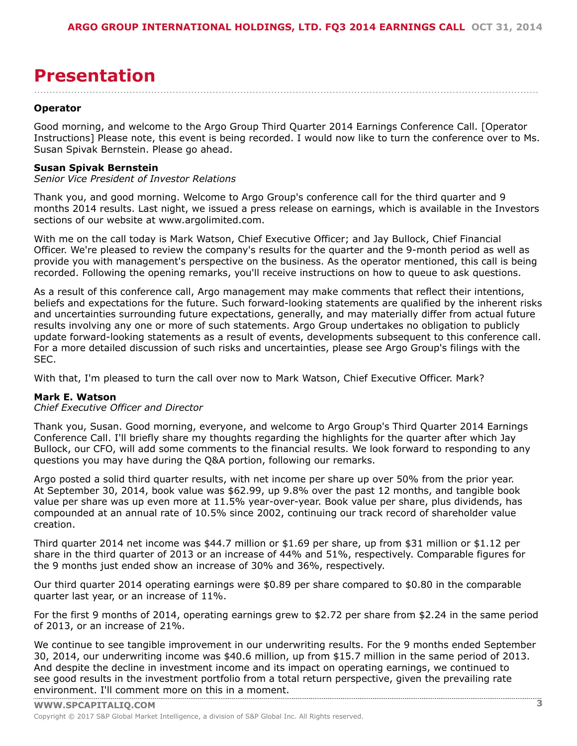## <span id="page-2-0"></span>**Presentation**

#### **Operator**

Good morning, and welcome to the Argo Group Third Quarter 2014 Earnings Conference Call. [Operator Instructions] Please note, this event is being recorded. I would now like to turn the conference over to Ms. Susan Spivak Bernstein. Please go ahead.

....................................................................................................................................................................

#### **Susan Spivak Bernstein**

*Senior Vice President of Investor Relations*

Thank you, and good morning. Welcome to Argo Group's conference call for the third quarter and 9 months 2014 results. Last night, we issued a press release on earnings, which is available in the Investors sections of our website at www.argolimited.com.

With me on the call today is Mark Watson, Chief Executive Officer; and Jay Bullock, Chief Financial Officer. We're pleased to review the company's results for the quarter and the 9-month period as well as provide you with management's perspective on the business. As the operator mentioned, this call is being recorded. Following the opening remarks, you'll receive instructions on how to queue to ask questions.

As a result of this conference call, Argo management may make comments that reflect their intentions, beliefs and expectations for the future. Such forward-looking statements are qualified by the inherent risks and uncertainties surrounding future expectations, generally, and may materially differ from actual future results involving any one or more of such statements. Argo Group undertakes no obligation to publicly update forward-looking statements as a result of events, developments subsequent to this conference call. For a more detailed discussion of such risks and uncertainties, please see Argo Group's filings with the SEC.

With that, I'm pleased to turn the call over now to Mark Watson, Chief Executive Officer. Mark?

#### **Mark E. Watson**

#### *Chief Executive Officer and Director*

Thank you, Susan. Good morning, everyone, and welcome to Argo Group's Third Quarter 2014 Earnings Conference Call. I'll briefly share my thoughts regarding the highlights for the quarter after which Jay Bullock, our CFO, will add some comments to the financial results. We look forward to responding to any questions you may have during the Q&A portion, following our remarks.

Argo posted a solid third quarter results, with net income per share up over 50% from the prior year. At September 30, 2014, book value was \$62.99, up 9.8% over the past 12 months, and tangible book value per share was up even more at 11.5% year-over-year. Book value per share, plus dividends, has compounded at an annual rate of 10.5% since 2002, continuing our track record of shareholder value creation.

Third quarter 2014 net income was \$44.7 million or \$1.69 per share, up from \$31 million or \$1.12 per share in the third quarter of 2013 or an increase of 44% and 51%, respectively. Comparable figures for the 9 months just ended show an increase of 30% and 36%, respectively.

Our third quarter 2014 operating earnings were \$0.89 per share compared to \$0.80 in the comparable quarter last year, or an increase of 11%.

For the first 9 months of 2014, operating earnings grew to \$2.72 per share from \$2.24 in the same period of 2013, or an increase of 21%.

We continue to see tangible improvement in our underwriting results. For the 9 months ended September 30, 2014, our underwriting income was \$40.6 million, up from \$15.7 million in the same period of 2013. And despite the decline in investment income and its impact on operating earnings, we continued to see good results in the investment portfolio from a total return perspective, given the prevailing rate [environment.](www.capitaliq.com) I'll comment more on this in a moment.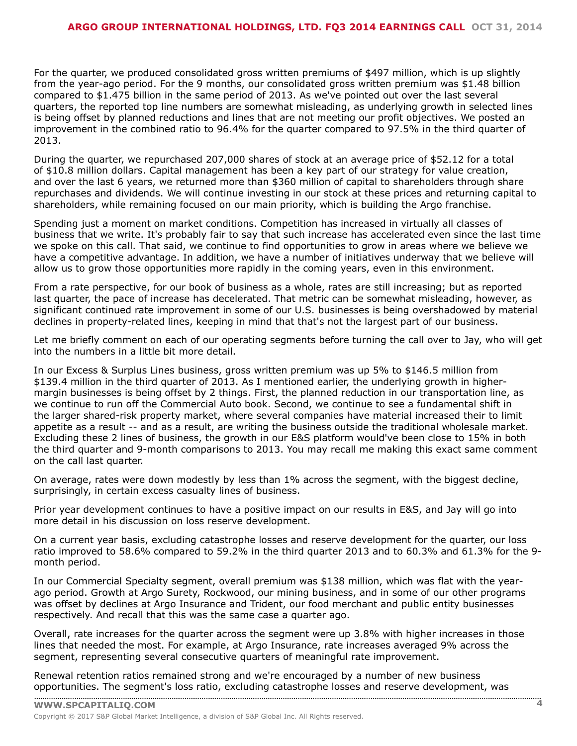For the quarter, we produced consolidated gross written premiums of \$497 million, which is up slightly from the year-ago period. For the 9 months, our consolidated gross written premium was \$1.48 billion compared to \$1.475 billion in the same period of 2013. As we've pointed out over the last several quarters, the reported top line numbers are somewhat misleading, as underlying growth in selected lines is being offset by planned reductions and lines that are not meeting our profit objectives. We posted an improvement in the combined ratio to 96.4% for the quarter compared to 97.5% in the third quarter of 2013.

During the quarter, we repurchased 207,000 shares of stock at an average price of \$52.12 for a total of \$10.8 million dollars. Capital management has been a key part of our strategy for value creation, and over the last 6 years, we returned more than \$360 million of capital to shareholders through share repurchases and dividends. We will continue investing in our stock at these prices and returning capital to shareholders, while remaining focused on our main priority, which is building the Argo franchise.

Spending just a moment on market conditions. Competition has increased in virtually all classes of business that we write. It's probably fair to say that such increase has accelerated even since the last time we spoke on this call. That said, we continue to find opportunities to grow in areas where we believe we have a competitive advantage. In addition, we have a number of initiatives underway that we believe will allow us to grow those opportunities more rapidly in the coming years, even in this environment.

From a rate perspective, for our book of business as a whole, rates are still increasing; but as reported last quarter, the pace of increase has decelerated. That metric can be somewhat misleading, however, as significant continued rate improvement in some of our U.S. businesses is being overshadowed by material declines in property-related lines, keeping in mind that that's not the largest part of our business.

Let me briefly comment on each of our operating segments before turning the call over to Jay, who will get into the numbers in a little bit more detail.

In our Excess & Surplus Lines business, gross written premium was up 5% to \$146.5 million from \$139.4 million in the third quarter of 2013. As I mentioned earlier, the underlying growth in highermargin businesses is being offset by 2 things. First, the planned reduction in our transportation line, as we continue to run off the Commercial Auto book. Second, we continue to see a fundamental shift in the larger shared-risk property market, where several companies have material increased their to limit appetite as a result -- and as a result, are writing the business outside the traditional wholesale market. Excluding these 2 lines of business, the growth in our E&S platform would've been close to 15% in both the third quarter and 9-month comparisons to 2013. You may recall me making this exact same comment on the call last quarter.

On average, rates were down modestly by less than 1% across the segment, with the biggest decline, surprisingly, in certain excess casualty lines of business.

Prior year development continues to have a positive impact on our results in E&S, and Jay will go into more detail in his discussion on loss reserve development.

On a current year basis, excluding catastrophe losses and reserve development for the quarter, our loss ratio improved to 58.6% compared to 59.2% in the third quarter 2013 and to 60.3% and 61.3% for the 9 month period.

In our Commercial Specialty segment, overall premium was \$138 million, which was flat with the yearago period. Growth at Argo Surety, Rockwood, our mining business, and in some of our other programs was offset by declines at Argo Insurance and Trident, our food merchant and public entity businesses respectively. And recall that this was the same case a quarter ago.

Overall, rate increases for the quarter across the segment were up 3.8% with higher increases in those lines that needed the most. For example, at Argo Insurance, rate increases averaged 9% across the segment, representing several consecutive quarters of meaningful rate improvement.

Renewal retention ratios remained strong and we're encouraged by a number of new business [opportunities.](www.capitaliq.com) The segment's loss ratio, excluding catastrophe losses and reserve development, was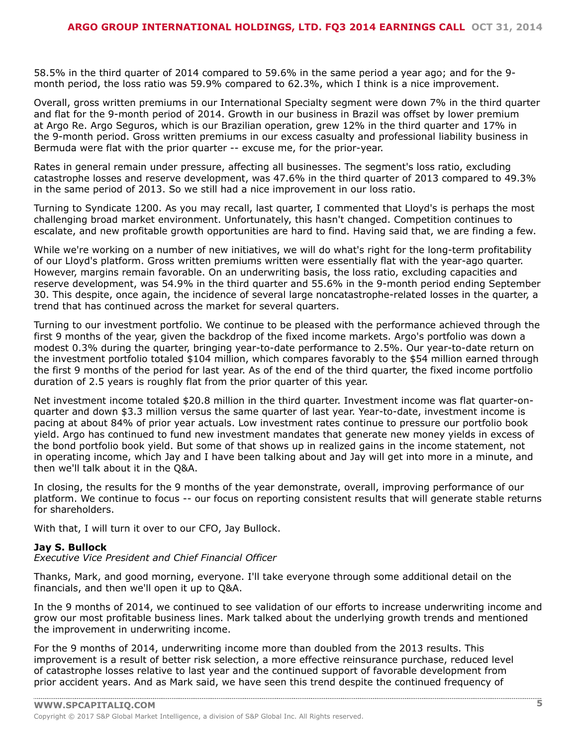58.5% in the third quarter of 2014 compared to 59.6% in the same period a year ago; and for the 9 month period, the loss ratio was 59.9% compared to 62.3%, which I think is a nice improvement.

Overall, gross written premiums in our International Specialty segment were down 7% in the third quarter and flat for the 9-month period of 2014. Growth in our business in Brazil was offset by lower premium at Argo Re. Argo Seguros, which is our Brazilian operation, grew 12% in the third quarter and 17% in the 9-month period. Gross written premiums in our excess casualty and professional liability business in Bermuda were flat with the prior quarter -- excuse me, for the prior-year.

Rates in general remain under pressure, affecting all businesses. The segment's loss ratio, excluding catastrophe losses and reserve development, was 47.6% in the third quarter of 2013 compared to 49.3% in the same period of 2013. So we still had a nice improvement in our loss ratio.

Turning to Syndicate 1200. As you may recall, last quarter, I commented that Lloyd's is perhaps the most challenging broad market environment. Unfortunately, this hasn't changed. Competition continues to escalate, and new profitable growth opportunities are hard to find. Having said that, we are finding a few.

While we're working on a number of new initiatives, we will do what's right for the long-term profitability of our Lloyd's platform. Gross written premiums written were essentially flat with the year-ago quarter. However, margins remain favorable. On an underwriting basis, the loss ratio, excluding capacities and reserve development, was 54.9% in the third quarter and 55.6% in the 9-month period ending September 30. This despite, once again, the incidence of several large noncatastrophe-related losses in the quarter, a trend that has continued across the market for several quarters.

Turning to our investment portfolio. We continue to be pleased with the performance achieved through the first 9 months of the year, given the backdrop of the fixed income markets. Argo's portfolio was down a modest 0.3% during the quarter, bringing year-to-date performance to 2.5%. Our year-to-date return on the investment portfolio totaled \$104 million, which compares favorably to the \$54 million earned through the first 9 months of the period for last year. As of the end of the third quarter, the fixed income portfolio duration of 2.5 years is roughly flat from the prior quarter of this year.

Net investment income totaled \$20.8 million in the third quarter. Investment income was flat quarter-onquarter and down \$3.3 million versus the same quarter of last year. Year-to-date, investment income is pacing at about 84% of prior year actuals. Low investment rates continue to pressure our portfolio book yield. Argo has continued to fund new investment mandates that generate new money yields in excess of the bond portfolio book yield. But some of that shows up in realized gains in the income statement, not in operating income, which Jay and I have been talking about and Jay will get into more in a minute, and then we'll talk about it in the Q&A.

In closing, the results for the 9 months of the year demonstrate, overall, improving performance of our platform. We continue to focus -- our focus on reporting consistent results that will generate stable returns for shareholders.

With that, I will turn it over to our CFO, Jay Bullock.

#### **Jay S. Bullock**

*Executive Vice President and Chief Financial Officer*

Thanks, Mark, and good morning, everyone. I'll take everyone through some additional detail on the financials, and then we'll open it up to Q&A.

In the 9 months of 2014, we continued to see validation of our efforts to increase underwriting income and grow our most profitable business lines. Mark talked about the underlying growth trends and mentioned the improvement in underwriting income.

For the 9 months of 2014, underwriting income more than doubled from the 2013 results. This improvement is a result of better risk selection, a more effective reinsurance purchase, reduced level of catastrophe losses relative to last year and the continued support of favorable development from prior accident years. And as Mark said, we have seen this trend despite the continued frequency of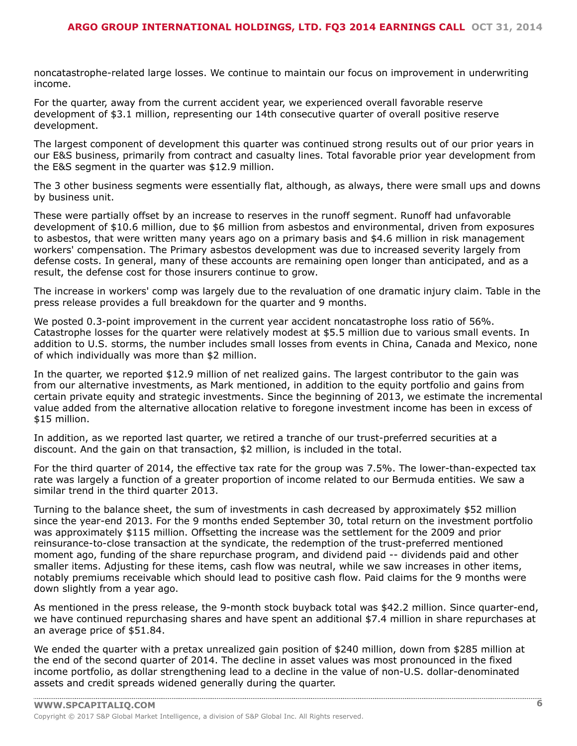noncatastrophe-related large losses. We continue to maintain our focus on improvement in underwriting income.

For the quarter, away from the current accident year, we experienced overall favorable reserve development of \$3.1 million, representing our 14th consecutive quarter of overall positive reserve development.

The largest component of development this quarter was continued strong results out of our prior years in our E&S business, primarily from contract and casualty lines. Total favorable prior year development from the E&S segment in the quarter was \$12.9 million.

The 3 other business segments were essentially flat, although, as always, there were small ups and downs by business unit.

These were partially offset by an increase to reserves in the runoff segment. Runoff had unfavorable development of \$10.6 million, due to \$6 million from asbestos and environmental, driven from exposures to asbestos, that were written many years ago on a primary basis and \$4.6 million in risk management workers' compensation. The Primary asbestos development was due to increased severity largely from defense costs. In general, many of these accounts are remaining open longer than anticipated, and as a result, the defense cost for those insurers continue to grow.

The increase in workers' comp was largely due to the revaluation of one dramatic injury claim. Table in the press release provides a full breakdown for the quarter and 9 months.

We posted 0.3-point improvement in the current year accident noncatastrophe loss ratio of 56%. Catastrophe losses for the quarter were relatively modest at \$5.5 million due to various small events. In addition to U.S. storms, the number includes small losses from events in China, Canada and Mexico, none of which individually was more than \$2 million.

In the quarter, we reported \$12.9 million of net realized gains. The largest contributor to the gain was from our alternative investments, as Mark mentioned, in addition to the equity portfolio and gains from certain private equity and strategic investments. Since the beginning of 2013, we estimate the incremental value added from the alternative allocation relative to foregone investment income has been in excess of \$15 million.

In addition, as we reported last quarter, we retired a tranche of our trust-preferred securities at a discount. And the gain on that transaction, \$2 million, is included in the total.

For the third quarter of 2014, the effective tax rate for the group was 7.5%. The lower-than-expected tax rate was largely a function of a greater proportion of income related to our Bermuda entities. We saw a similar trend in the third quarter 2013.

Turning to the balance sheet, the sum of investments in cash decreased by approximately \$52 million since the year-end 2013. For the 9 months ended September 30, total return on the investment portfolio was approximately \$115 million. Offsetting the increase was the settlement for the 2009 and prior reinsurance-to-close transaction at the syndicate, the redemption of the trust-preferred mentioned moment ago, funding of the share repurchase program, and dividend paid -- dividends paid and other smaller items. Adjusting for these items, cash flow was neutral, while we saw increases in other items, notably premiums receivable which should lead to positive cash flow. Paid claims for the 9 months were down slightly from a year ago.

As mentioned in the press release, the 9-month stock buyback total was \$42.2 million. Since quarter-end, we have continued repurchasing shares and have spent an additional \$7.4 million in share repurchases at an average price of \$51.84.

We ended the quarter with a pretax unrealized gain position of \$240 million, down from \$285 million at the end of the second quarter of 2014. The decline in asset values was most pronounced in the fixed income portfolio, as dollar strengthening lead to a decline in the value of non-U.S. dollar-denominated assets and credit spreads widened generally during the quarter.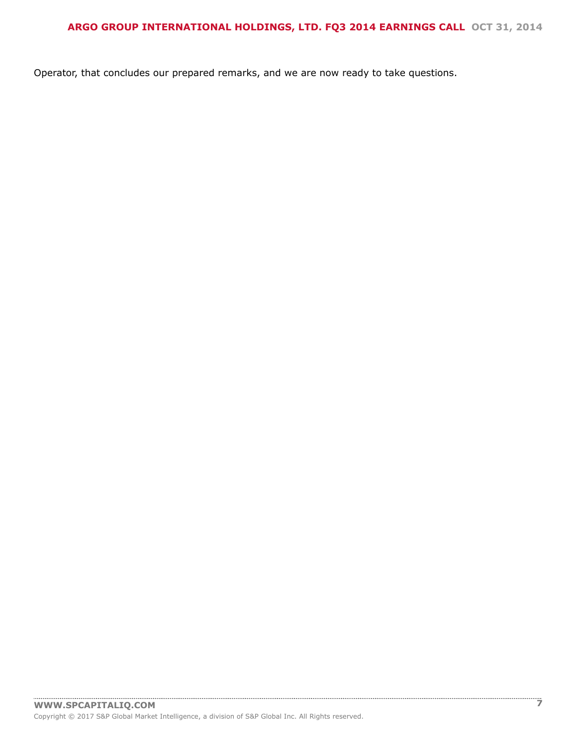Operator, that concludes our prepared remarks, and we are now ready to take questions.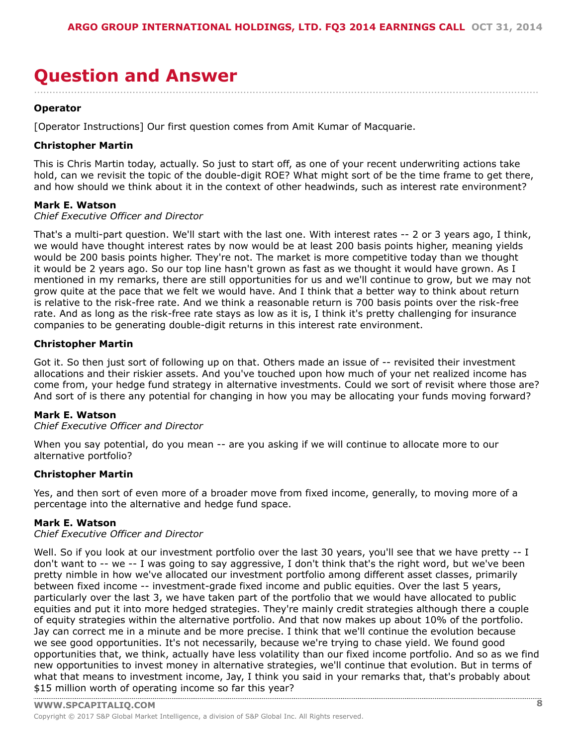### <span id="page-7-0"></span>**Question and Answer** ....................................................................................................................................................................

#### **Operator**

[Operator Instructions] Our first question comes from Amit Kumar of Macquarie.

#### **Christopher Martin**

This is Chris Martin today, actually. So just to start off, as one of your recent underwriting actions take hold, can we revisit the topic of the double-digit ROE? What might sort of be the time frame to get there, and how should we think about it in the context of other headwinds, such as interest rate environment?

#### **Mark E. Watson**

*Chief Executive Officer and Director*

That's a multi-part question. We'll start with the last one. With interest rates -- 2 or 3 years ago, I think, we would have thought interest rates by now would be at least 200 basis points higher, meaning yields would be 200 basis points higher. They're not. The market is more competitive today than we thought it would be 2 years ago. So our top line hasn't grown as fast as we thought it would have grown. As I mentioned in my remarks, there are still opportunities for us and we'll continue to grow, but we may not grow quite at the pace that we felt we would have. And I think that a better way to think about return is relative to the risk-free rate. And we think a reasonable return is 700 basis points over the risk-free rate. And as long as the risk-free rate stays as low as it is, I think it's pretty challenging for insurance companies to be generating double-digit returns in this interest rate environment.

#### **Christopher Martin**

Got it. So then just sort of following up on that. Others made an issue of -- revisited their investment allocations and their riskier assets. And you've touched upon how much of your net realized income has come from, your hedge fund strategy in alternative investments. Could we sort of revisit where those are? And sort of is there any potential for changing in how you may be allocating your funds moving forward?

#### **Mark E. Watson**

#### *Chief Executive Officer and Director*

When you say potential, do you mean -- are you asking if we will continue to allocate more to our alternative portfolio?

#### **Christopher Martin**

Yes, and then sort of even more of a broader move from fixed income, generally, to moving more of a percentage into the alternative and hedge fund space.

#### **Mark E. Watson**

#### *Chief Executive Officer and Director*

Well. So if you look at our investment portfolio over the last 30 years, you'll see that we have pretty -- I don't want to -- we -- I was going to say aggressive, I don't think that's the right word, but we've been pretty nimble in how we've allocated our investment portfolio among different asset classes, primarily between fixed income -- investment-grade fixed income and public equities. Over the last 5 years, particularly over the last 3, we have taken part of the portfolio that we would have allocated to public equities and put it into more hedged strategies. They're mainly credit strategies although there a couple of equity strategies within the alternative portfolio. And that now makes up about 10% of the portfolio. Jay can correct me in a minute and be more precise. I think that we'll continue the evolution because we see good opportunities. It's not necessarily, because we're trying to chase yield. We found good opportunities that, we think, actually have less volatility than our fixed income portfolio. And so as we find new opportunities to invest money in alternative strategies, we'll continue that evolution. But in terms of what that means to investment income, Jay, I think you said in your remarks that, that's probably about \$15 [million](www.capitaliq.com) worth of operating income so far this year?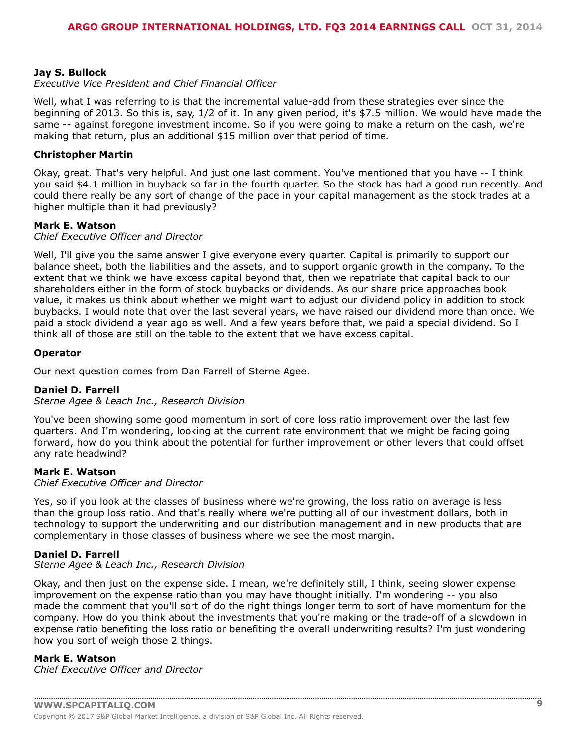#### **Jay S. Bullock**

#### *Executive Vice President and Chief Financial Officer*

Well, what I was referring to is that the incremental value-add from these strategies ever since the beginning of 2013. So this is, say, 1/2 of it. In any given period, it's \$7.5 million. We would have made the same -- against foregone investment income. So if you were going to make a return on the cash, we're making that return, plus an additional \$15 million over that period of time.

#### **Christopher Martin**

Okay, great. That's very helpful. And just one last comment. You've mentioned that you have -- I think you said \$4.1 million in buyback so far in the fourth quarter. So the stock has had a good run recently. And could there really be any sort of change of the pace in your capital management as the stock trades at a higher multiple than it had previously?

#### **Mark E. Watson**

#### *Chief Executive Officer and Director*

Well, I'll give you the same answer I give everyone every quarter. Capital is primarily to support our balance sheet, both the liabilities and the assets, and to support organic growth in the company. To the extent that we think we have excess capital beyond that, then we repatriate that capital back to our shareholders either in the form of stock buybacks or dividends. As our share price approaches book value, it makes us think about whether we might want to adjust our dividend policy in addition to stock buybacks. I would note that over the last several years, we have raised our dividend more than once. We paid a stock dividend a year ago as well. And a few years before that, we paid a special dividend. So I think all of those are still on the table to the extent that we have excess capital.

#### **Operator**

Our next question comes from Dan Farrell of Sterne Agee.

#### **Daniel D. Farrell**

*Sterne Agee & Leach Inc., Research Division*

You've been showing some good momentum in sort of core loss ratio improvement over the last few quarters. And I'm wondering, looking at the current rate environment that we might be facing going forward, how do you think about the potential for further improvement or other levers that could offset any rate headwind?

#### **Mark E. Watson**

*Chief Executive Officer and Director*

Yes, so if you look at the classes of business where we're growing, the loss ratio on average is less than the group loss ratio. And that's really where we're putting all of our investment dollars, both in technology to support the underwriting and our distribution management and in new products that are complementary in those classes of business where we see the most margin.

#### **Daniel D. Farrell**

#### *Sterne Agee & Leach Inc., Research Division*

Okay, and then just on the expense side. I mean, we're definitely still, I think, seeing slower expense improvement on the expense ratio than you may have thought initially. I'm wondering -- you also made the comment that you'll sort of do the right things longer term to sort of have momentum for the company. How do you think about the investments that you're making or the trade-off of a slowdown in expense ratio benefiting the loss ratio or benefiting the overall underwriting results? I'm just wondering how you sort of weigh those 2 things.

#### **Mark E. Watson**

*Chief Executive Officer and Director*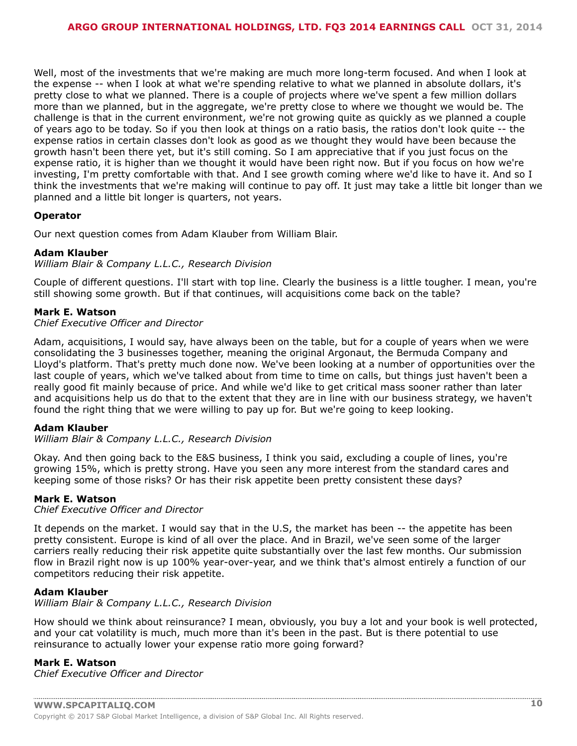Well, most of the investments that we're making are much more long-term focused. And when I look at the expense -- when I look at what we're spending relative to what we planned in absolute dollars, it's pretty close to what we planned. There is a couple of projects where we've spent a few million dollars more than we planned, but in the aggregate, we're pretty close to where we thought we would be. The challenge is that in the current environment, we're not growing quite as quickly as we planned a couple of years ago to be today. So if you then look at things on a ratio basis, the ratios don't look quite -- the expense ratios in certain classes don't look as good as we thought they would have been because the growth hasn't been there yet, but it's still coming. So I am appreciative that if you just focus on the expense ratio, it is higher than we thought it would have been right now. But if you focus on how we're investing, I'm pretty comfortable with that. And I see growth coming where we'd like to have it. And so I think the investments that we're making will continue to pay off. It just may take a little bit longer than we planned and a little bit longer is quarters, not years.

#### **Operator**

Our next question comes from Adam Klauber from William Blair.

#### **Adam Klauber**

*William Blair & Company L.L.C., Research Division*

Couple of different questions. I'll start with top line. Clearly the business is a little tougher. I mean, you're still showing some growth. But if that continues, will acquisitions come back on the table?

#### **Mark E. Watson**

*Chief Executive Officer and Director*

Adam, acquisitions, I would say, have always been on the table, but for a couple of years when we were consolidating the 3 businesses together, meaning the original Argonaut, the Bermuda Company and Lloyd's platform. That's pretty much done now. We've been looking at a number of opportunities over the last couple of years, which we've talked about from time to time on calls, but things just haven't been a really good fit mainly because of price. And while we'd like to get critical mass sooner rather than later and acquisitions help us do that to the extent that they are in line with our business strategy, we haven't found the right thing that we were willing to pay up for. But we're going to keep looking.

#### **Adam Klauber**

*William Blair & Company L.L.C., Research Division*

Okay. And then going back to the E&S business, I think you said, excluding a couple of lines, you're growing 15%, which is pretty strong. Have you seen any more interest from the standard cares and keeping some of those risks? Or has their risk appetite been pretty consistent these days?

#### **Mark E. Watson**

*Chief Executive Officer and Director*

It depends on the market. I would say that in the U.S, the market has been -- the appetite has been pretty consistent. Europe is kind of all over the place. And in Brazil, we've seen some of the larger carriers really reducing their risk appetite quite substantially over the last few months. Our submission flow in Brazil right now is up 100% year-over-year, and we think that's almost entirely a function of our competitors reducing their risk appetite.

#### **Adam Klauber**

*William Blair & Company L.L.C., Research Division*

How should we think about reinsurance? I mean, obviously, you buy a lot and your book is well protected, and your cat volatility is much, much more than it's been in the past. But is there potential to use reinsurance to actually lower your expense ratio more going forward?

#### **Mark E. Watson**

*Chief Executive Officer and Director*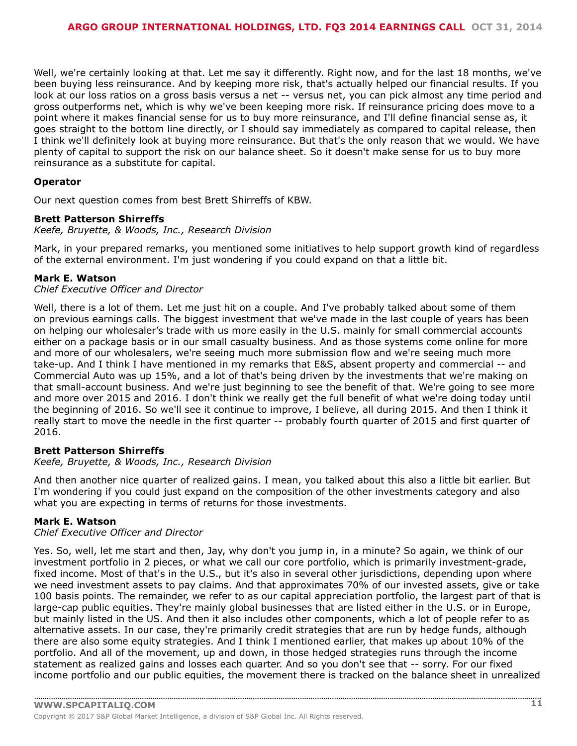Well, we're certainly looking at that. Let me say it differently. Right now, and for the last 18 months, we've been buying less reinsurance. And by keeping more risk, that's actually helped our financial results. If you look at our loss ratios on a gross basis versus a net -- versus net, you can pick almost any time period and gross outperforms net, which is why we've been keeping more risk. If reinsurance pricing does move to a point where it makes financial sense for us to buy more reinsurance, and I'll define financial sense as, it goes straight to the bottom line directly, or I should say immediately as compared to capital release, then I think we'll definitely look at buying more reinsurance. But that's the only reason that we would. We have plenty of capital to support the risk on our balance sheet. So it doesn't make sense for us to buy more reinsurance as a substitute for capital.

#### **Operator**

Our next question comes from best Brett Shirreffs of KBW.

#### **Brett Patterson Shirreffs**

*Keefe, Bruyette, & Woods, Inc., Research Division*

Mark, in your prepared remarks, you mentioned some initiatives to help support growth kind of regardless of the external environment. I'm just wondering if you could expand on that a little bit.

#### **Mark E. Watson**

*Chief Executive Officer and Director*

Well, there is a lot of them. Let me just hit on a couple. And I've probably talked about some of them on previous earnings calls. The biggest investment that we've made in the last couple of years has been on helping our wholesaler's trade with us more easily in the U.S. mainly for small commercial accounts either on a package basis or in our small casualty business. And as those systems come online for more and more of our wholesalers, we're seeing much more submission flow and we're seeing much more take-up. And I think I have mentioned in my remarks that E&S, absent property and commercial -- and Commercial Auto was up 15%, and a lot of that's being driven by the investments that we're making on that small-account business. And we're just beginning to see the benefit of that. We're going to see more and more over 2015 and 2016. I don't think we really get the full benefit of what we're doing today until the beginning of 2016. So we'll see it continue to improve, I believe, all during 2015. And then I think it really start to move the needle in the first quarter -- probably fourth quarter of 2015 and first quarter of 2016.

#### **Brett Patterson Shirreffs**

*Keefe, Bruyette, & Woods, Inc., Research Division*

And then another nice quarter of realized gains. I mean, you talked about this also a little bit earlier. But I'm wondering if you could just expand on the composition of the other investments category and also what you are expecting in terms of returns for those investments.

#### **Mark E. Watson**

#### *Chief Executive Officer and Director*

Yes. So, well, let me start and then, Jay, why don't you jump in, in a minute? So again, we think of our investment portfolio in 2 pieces, or what we call our core portfolio, which is primarily investment-grade, fixed income. Most of that's in the U.S., but it's also in several other jurisdictions, depending upon where we need investment assets to pay claims. And that approximates 70% of our invested assets, give or take 100 basis points. The remainder, we refer to as our capital appreciation portfolio, the largest part of that is large-cap public equities. They're mainly global businesses that are listed either in the U.S. or in Europe, but mainly listed in the US. And then it also includes other components, which a lot of people refer to as alternative assets. In our case, they're primarily credit strategies that are run by hedge funds, although there are also some equity strategies. And I think I mentioned earlier, that makes up about 10% of the portfolio. And all of the movement, up and down, in those hedged strategies runs through the income statement as realized gains and losses each quarter. And so you don't see that -- sorry. For our fixed income portfolio and our public equities, the movement there is tracked on the balance sheet in unrealized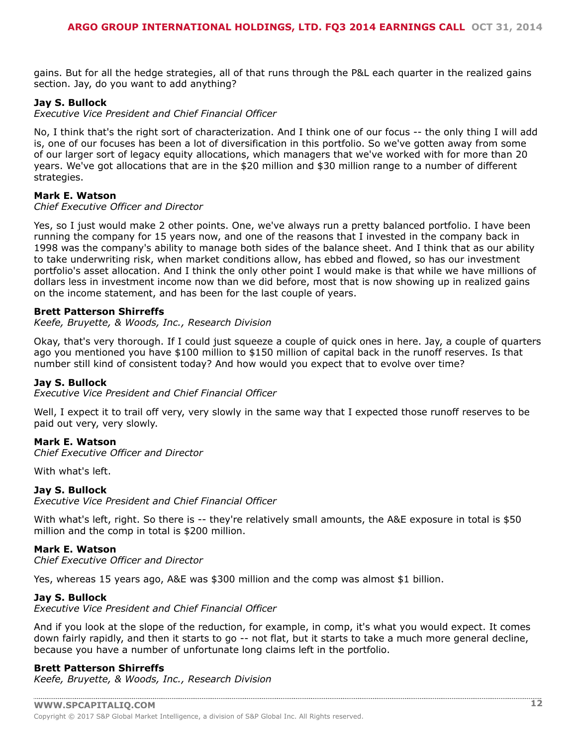gains. But for all the hedge strategies, all of that runs through the P&L each quarter in the realized gains section. Jay, do you want to add anything?

#### **Jay S. Bullock**

*Executive Vice President and Chief Financial Officer*

No, I think that's the right sort of characterization. And I think one of our focus -- the only thing I will add is, one of our focuses has been a lot of diversification in this portfolio. So we've gotten away from some of our larger sort of legacy equity allocations, which managers that we've worked with for more than 20 years. We've got allocations that are in the \$20 million and \$30 million range to a number of different strategies.

#### **Mark E. Watson**

#### *Chief Executive Officer and Director*

Yes, so I just would make 2 other points. One, we've always run a pretty balanced portfolio. I have been running the company for 15 years now, and one of the reasons that I invested in the company back in 1998 was the company's ability to manage both sides of the balance sheet. And I think that as our ability to take underwriting risk, when market conditions allow, has ebbed and flowed, so has our investment portfolio's asset allocation. And I think the only other point I would make is that while we have millions of dollars less in investment income now than we did before, most that is now showing up in realized gains on the income statement, and has been for the last couple of years.

#### **Brett Patterson Shirreffs**

*Keefe, Bruyette, & Woods, Inc., Research Division*

Okay, that's very thorough. If I could just squeeze a couple of quick ones in here. Jay, a couple of quarters ago you mentioned you have \$100 million to \$150 million of capital back in the runoff reserves. Is that number still kind of consistent today? And how would you expect that to evolve over time?

#### **Jay S. Bullock**

*Executive Vice President and Chief Financial Officer*

Well, I expect it to trail off very, very slowly in the same way that I expected those runoff reserves to be paid out very, very slowly.

#### **Mark E. Watson**

*Chief Executive Officer and Director*

With what's left.

#### **Jay S. Bullock**

*Executive Vice President and Chief Financial Officer*

With what's left, right. So there is -- they're relatively small amounts, the A&E exposure in total is \$50 million and the comp in total is \$200 million.

#### **Mark E. Watson**

*Chief Executive Officer and Director*

Yes, whereas 15 years ago, A&E was \$300 million and the comp was almost \$1 billion.

#### **Jay S. Bullock**

*Executive Vice President and Chief Financial Officer*

And if you look at the slope of the reduction, for example, in comp, it's what you would expect. It comes down fairly rapidly, and then it starts to go -- not flat, but it starts to take a much more general decline, because you have a number of unfortunate long claims left in the portfolio.

#### **Brett Patterson Shirreffs**

*Keefe, Bruyette, & Woods, Inc., Research Division*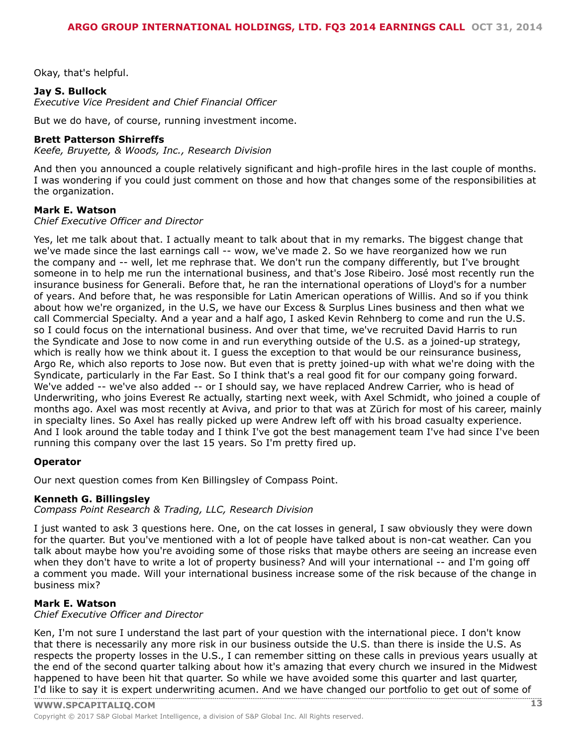Okay, that's helpful.

#### **Jay S. Bullock**

*Executive Vice President and Chief Financial Officer*

But we do have, of course, running investment income.

#### **Brett Patterson Shirreffs**

*Keefe, Bruyette, & Woods, Inc., Research Division*

And then you announced a couple relatively significant and high-profile hires in the last couple of months. I was wondering if you could just comment on those and how that changes some of the responsibilities at the organization.

#### **Mark E. Watson**

#### *Chief Executive Officer and Director*

Yes, let me talk about that. I actually meant to talk about that in my remarks. The biggest change that we've made since the last earnings call -- wow, we've made 2. So we have reorganized how we run the company and -- well, let me rephrase that. We don't run the company differently, but I've brought someone in to help me run the international business, and that's Jose Ribeiro. José most recently run the insurance business for Generali. Before that, he ran the international operations of Lloyd's for a number of years. And before that, he was responsible for Latin American operations of Willis. And so if you think about how we're organized, in the U.S, we have our Excess & Surplus Lines business and then what we call Commercial Specialty. And a year and a half ago, I asked Kevin Rehnberg to come and run the U.S. so I could focus on the international business. And over that time, we've recruited David Harris to run the Syndicate and Jose to now come in and run everything outside of the U.S. as a joined-up strategy, which is really how we think about it. I guess the exception to that would be our reinsurance business, Argo Re, which also reports to Jose now. But even that is pretty joined-up with what we're doing with the Syndicate, particularly in the Far East. So I think that's a real good fit for our company going forward. We've added -- we've also added -- or I should say, we have replaced Andrew Carrier, who is head of Underwriting, who joins Everest Re actually, starting next week, with Axel Schmidt, who joined a couple of months ago. Axel was most recently at Aviva, and prior to that was at Zürich for most of his career, mainly in specialty lines. So Axel has really picked up were Andrew left off with his broad casualty experience. And I look around the table today and I think I've got the best management team I've had since I've been running this company over the last 15 years. So I'm pretty fired up.

#### **Operator**

Our next question comes from Ken Billingsley of Compass Point.

#### **Kenneth G. Billingsley**

*Compass Point Research & Trading, LLC, Research Division*

I just wanted to ask 3 questions here. One, on the cat losses in general, I saw obviously they were down for the quarter. But you've mentioned with a lot of people have talked about is non-cat weather. Can you talk about maybe how you're avoiding some of those risks that maybe others are seeing an increase even when they don't have to write a lot of property business? And will your international -- and I'm going off a comment you made. Will your international business increase some of the risk because of the change in business mix?

#### **Mark E. Watson**

*Chief Executive Officer and Director*

Ken, I'm not sure I understand the last part of your question with the international piece. I don't know that there is necessarily any more risk in our business outside the U.S. than there is inside the U.S. As respects the property losses in the U.S., I can remember sitting on these calls in previous years usually at the end of the second quarter talking about how it's amazing that every church we insured in the Midwest happened to have been hit that quarter. So while we have avoided some this quarter and last quarter, I'd like to say it is [expert](www.capitaliq.com) underwriting acumen. And we have changed our portfolio to get out of some of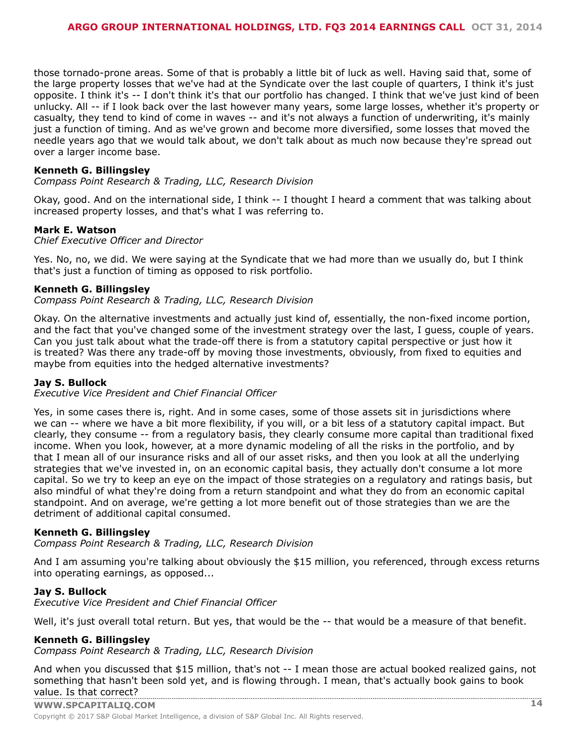those tornado-prone areas. Some of that is probably a little bit of luck as well. Having said that, some of the large property losses that we've had at the Syndicate over the last couple of quarters, I think it's just opposite. I think it's -- I don't think it's that our portfolio has changed. I think that we've just kind of been unlucky. All -- if I look back over the last however many years, some large losses, whether it's property or casualty, they tend to kind of come in waves -- and it's not always a function of underwriting, it's mainly just a function of timing. And as we've grown and become more diversified, some losses that moved the needle years ago that we would talk about, we don't talk about as much now because they're spread out over a larger income base.

#### **Kenneth G. Billingsley**

*Compass Point Research & Trading, LLC, Research Division*

Okay, good. And on the international side, I think -- I thought I heard a comment that was talking about increased property losses, and that's what I was referring to.

#### **Mark E. Watson**

*Chief Executive Officer and Director*

Yes. No, no, we did. We were saying at the Syndicate that we had more than we usually do, but I think that's just a function of timing as opposed to risk portfolio.

#### **Kenneth G. Billingsley**

*Compass Point Research & Trading, LLC, Research Division*

Okay. On the alternative investments and actually just kind of, essentially, the non-fixed income portion, and the fact that you've changed some of the investment strategy over the last, I guess, couple of years. Can you just talk about what the trade-off there is from a statutory capital perspective or just how it is treated? Was there any trade-off by moving those investments, obviously, from fixed to equities and maybe from equities into the hedged alternative investments?

#### **Jay S. Bullock**

*Executive Vice President and Chief Financial Officer*

Yes, in some cases there is, right. And in some cases, some of those assets sit in jurisdictions where we can -- where we have a bit more flexibility, if you will, or a bit less of a statutory capital impact. But clearly, they consume -- from a regulatory basis, they clearly consume more capital than traditional fixed income. When you look, however, at a more dynamic modeling of all the risks in the portfolio, and by that I mean all of our insurance risks and all of our asset risks, and then you look at all the underlying strategies that we've invested in, on an economic capital basis, they actually don't consume a lot more capital. So we try to keep an eye on the impact of those strategies on a regulatory and ratings basis, but also mindful of what they're doing from a return standpoint and what they do from an economic capital standpoint. And on average, we're getting a lot more benefit out of those strategies than we are the detriment of additional capital consumed.

#### **Kenneth G. Billingsley**

*Compass Point Research & Trading, LLC, Research Division*

And I am assuming you're talking about obviously the \$15 million, you referenced, through excess returns into operating earnings, as opposed...

#### **Jay S. Bullock**

*Executive Vice President and Chief Financial Officer*

Well, it's just overall total return. But yes, that would be the -- that would be a measure of that benefit.

#### **Kenneth G. Billingsley**

*Compass Point Research & Trading, LLC, Research Division*

And when you discussed that \$15 million, that's not -- I mean those are actual booked realized gains, not something that hasn't been sold yet, and is flowing through. I mean, that's actually book gains to book value. Is that [correct?](www.capitaliq.com)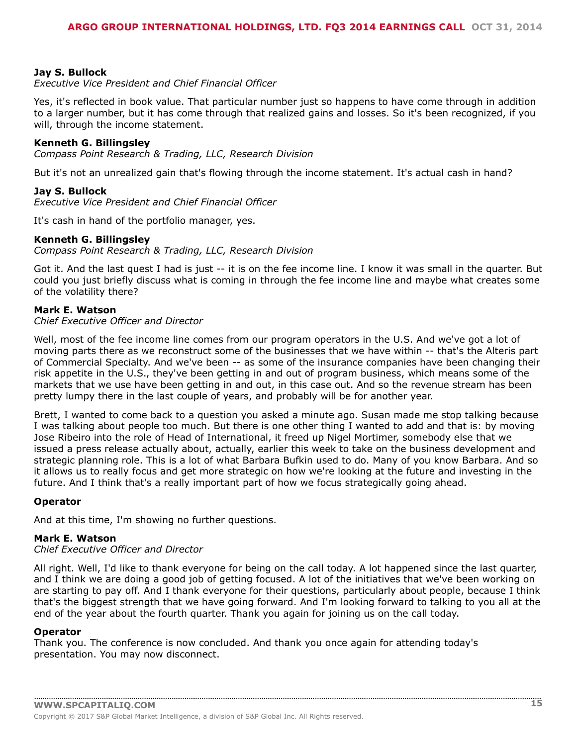#### **Jay S. Bullock**

*Executive Vice President and Chief Financial Officer*

Yes, it's reflected in book value. That particular number just so happens to have come through in addition to a larger number, but it has come through that realized gains and losses. So it's been recognized, if you will, through the income statement.

#### **Kenneth G. Billingsley**

*Compass Point Research & Trading, LLC, Research Division*

But it's not an unrealized gain that's flowing through the income statement. It's actual cash in hand?

#### **Jay S. Bullock**

*Executive Vice President and Chief Financial Officer*

It's cash in hand of the portfolio manager, yes.

#### **Kenneth G. Billingsley**

*Compass Point Research & Trading, LLC, Research Division*

Got it. And the last quest I had is just -- it is on the fee income line. I know it was small in the quarter. But could you just briefly discuss what is coming in through the fee income line and maybe what creates some of the volatility there?

#### **Mark E. Watson**

*Chief Executive Officer and Director*

Well, most of the fee income line comes from our program operators in the U.S. And we've got a lot of moving parts there as we reconstruct some of the businesses that we have within -- that's the Alteris part of Commercial Specialty. And we've been -- as some of the insurance companies have been changing their risk appetite in the U.S., they've been getting in and out of program business, which means some of the markets that we use have been getting in and out, in this case out. And so the revenue stream has been pretty lumpy there in the last couple of years, and probably will be for another year.

Brett, I wanted to come back to a question you asked a minute ago. Susan made me stop talking because I was talking about people too much. But there is one other thing I wanted to add and that is: by moving Jose Ribeiro into the role of Head of International, it freed up Nigel Mortimer, somebody else that we issued a press release actually about, actually, earlier this week to take on the business development and strategic planning role. This is a lot of what Barbara Bufkin used to do. Many of you know Barbara. And so it allows us to really focus and get more strategic on how we're looking at the future and investing in the future. And I think that's a really important part of how we focus strategically going ahead.

#### **Operator**

And at this time, I'm showing no further questions.

#### **Mark E. Watson**

#### *Chief Executive Officer and Director*

All right. Well, I'd like to thank everyone for being on the call today. A lot happened since the last quarter, and I think we are doing a good job of getting focused. A lot of the initiatives that we've been working on are starting to pay off. And I thank everyone for their questions, particularly about people, because I think that's the biggest strength that we have going forward. And I'm looking forward to talking to you all at the end of the year about the fourth quarter. Thank you again for joining us on the call today.

#### **Operator**

Thank you. The conference is now concluded. And thank you once again for attending today's presentation. You may now disconnect.